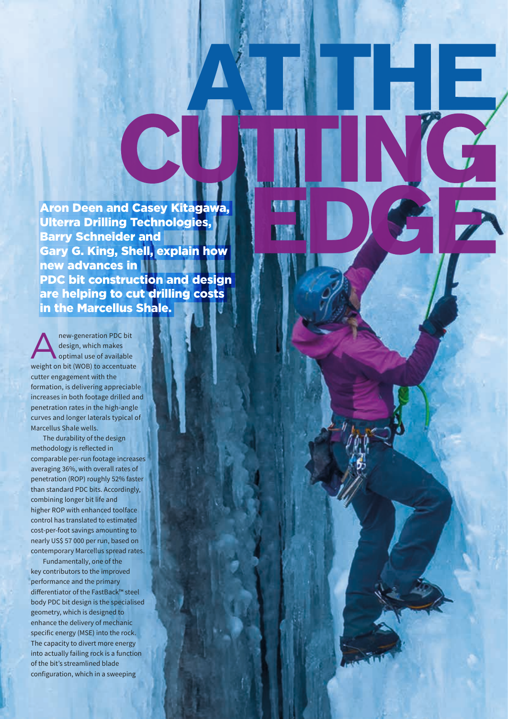Aron Deen and Casey Kitagawa, Ulterra Drilling Technologies, Barry Schneider and Gary G. King, Shell, explain how new advances in PDC bit construction and design are helping to cut drilling costs in the Marcellus Shale.

E

5

Anew-generation PDC bit<br>
design, which makes<br>
optimal use of available design, which makes weight on bit (WOB) to accentuate cutter engagement with the formation, is delivering appreciable increases in both footage drilled and penetration rates in the high-angle curves and longer laterals typical of Marcellus Shale wells.

The durability of the design methodology is reflected in comparable per‑run footage increases averaging 36%, with overall rates of penetration (ROP) roughly 52% faster than standard PDC bits. Accordingly, combining longer bit life and higher ROP with enhanced toolface control has translated to estimated cost‑per‑foot savings amounting to nearly US\$ 57 000 per run, based on contemporary Marcellus spread rates.

Fundamentally, one of the key contributors to the improved performance and the primary differentiator of the FastBack™ steel body PDC bit design is the specialised geometry, which is designed to enhance the delivery of mechanic specific energy (MSE) into the rock. The capacity to divert more energy into actually failing rock is a function of the bit's streamlined blade configuration, which in a sweeping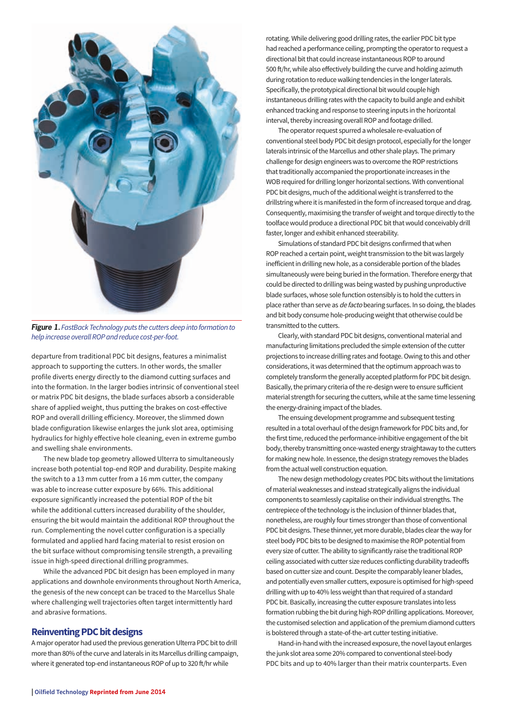

*Figure 1. FastBack Technology puts the cutters deep into formation to help increase overall ROP and reduce cost‑per‑foot.*

departure from traditional PDC bit designs, features a minimalist approach to supporting the cutters. In other words, the smaller profile diverts energy directly to the diamond cutting surfaces and into the formation. In the larger bodies intrinsic of conventional steel or matrix PDC bit designs, the blade surfaces absorb a considerable share of applied weight, thus putting the brakes on cost-effective ROP and overall drilling efficiency. Moreover, the slimmed down blade configuration likewise enlarges the junk slot area, optimising hydraulics for highly effective hole cleaning, even in extreme gumbo and swelling shale environments.

The new blade top geometry allowed Ulterra to simultaneously increase both potential top-end ROP and durability. Despite making the switch to a 13 mm cutter from a 16 mm cutter, the company was able to increase cutter exposure by 66%. This additional exposure significantly increased the potential ROP of the bit while the additional cutters increased durability of the shoulder, ensuring the bit would maintain the additional ROP throughout the run. Complementing the novel cutter configuration is a specially formulated and applied hard facing material to resist erosion on the bit surface without compromising tensile strength, a prevailing issue in high‑speed directional drilling programmes.

While the advanced PDC bit design has been employed in many applications and downhole environments throughout North America, the genesis of the new concept can be traced to the Marcellus Shale where challenging well trajectories often target intermittently hard and abrasive formations.

## **Reinventing PDC bit designs**

A major operator had used the previous generation Ulterra PDC bit to drill more than 80% of the curve and laterals in its Marcellus drilling campaign, where it generated top-end instantaneous ROP of up to 320 ft/hr while

rotating. While delivering good drilling rates, the earlier PDC bit type had reached a performance ceiling, prompting the operator to request a directional bit that could increase instantaneous ROP to around 500 ft/hr, while also effectively building the curve and holding azimuth during rotation to reduce walking tendencies in the longer laterals. Specifically, the prototypical directional bit would couple high instantaneous drilling rates with the capacity to build angle and exhibit enhanced tracking and response to steering inputs in the horizontal interval, thereby increasing overall ROP and footage drilled.

The operator request spurred a wholesale re‑evaluation of conventional steel body PDC bit design protocol, especially for the longer laterals intrinsic of the Marcellus and other shale plays. The primary challenge for design engineers was to overcome the ROP restrictions that traditionally accompanied the proportionate increases in the WOB required for drilling longer horizontal sections. With conventional PDC bit designs, much of the additional weight is transferred to the drillstring where it is manifested in the form of increased torque and drag. Consequently, maximising the transfer of weight and torque directly to the toolface would produce a directional PDC bit that would conceivably drill faster, longer and exhibit enhanced steerability.

Simulations of standard PDC bit designs confirmed that when ROP reached a certain point, weight transmission to the bit was largely inefficient in drilling new hole, as a considerable portion of the blades simultaneously were being buried in the formation. Therefore energy that could be directed to drilling was being wasted by pushing unproductive blade surfaces, whose sole function ostensibly is to hold the cutters in place rather than serve as *de facto* bearing surfaces. In so doing, the blades and bit body consume hole‑producing weight that otherwise could be transmitted to the cutters.

Clearly, with standard PDC bit designs, conventional material and manufacturing limitations precluded the simple extension of the cutter projections to increase drilling rates and footage. Owing to this and other considerations, it was determined that the optimum approach was to completely transform the generally accepted platform for PDC bit design. Basically, the primary criteria of the re‑design were to ensure sufficient material strength for securing the cutters, while at the same time lessening the energy‑draining impact of the blades.

The ensuing development programme and subsequent testing resulted in a total overhaul of the design framework for PDC bits and, for the first time, reduced the performance‑inhibitive engagement of the bit body, thereby transmitting once‑wasted energy straightaway to the cutters for making new hole. In essence, the design strategy removes the blades from the actual well construction equation.

The new design methodology creates PDC bits without the limitations of material weaknesses and instead strategically aligns the individual components to seamlessly capitalise on their individual strengths. The centrepiece of the technology is the inclusion of thinner blades that, nonetheless, are roughly four times stronger than those of conventional PDC bit designs. These thinner, yet more durable, blades clear the way for steel body PDC bits to be designed to maximise the ROP potential from every size of cutter. The ability to significantly raise the traditional ROP ceiling associated with cutter size reduces conflicting durability tradeoffs based on cutter size and count. Despite the comparably leaner blades, and potentially even smaller cutters, exposure is optimised for high-speed drilling with up to 40% less weight than that required of a standard PDC bit. Basically, increasing the cutter exposure translates into less formation rubbing the bit during high-ROP drilling applications. Moreover, the customised selection and application of the premium diamond cutters is bolstered through a state-of-the-art cutter testing initiative.

Hand-in-hand with the increased exposure, the novel layout enlarges the junk slot area some 20% compared to conventional steel-body PDC bits and up to 40% larger than their matrix counterparts. Even